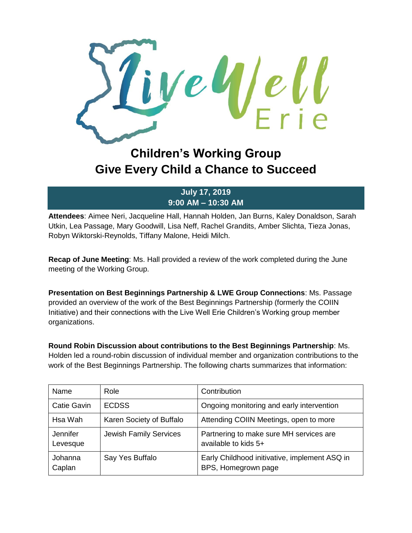

## **Children's Working Group Give Every Child a Chance to Succeed**

**July 17, 2019 9:00 AM – 10:30 AM**

**Attendees**: Aimee Neri, Jacqueline Hall, Hannah Holden, Jan Burns, Kaley Donaldson, Sarah Utkin, Lea Passage, Mary Goodwill, Lisa Neff, Rachel Grandits, Amber Slichta, Tieza Jonas, Robyn Wiktorski-Reynolds, Tiffany Malone, Heidi Milch.

**Recap of June Meeting**: Ms. Hall provided a review of the work completed during the June meeting of the Working Group.

**Presentation on Best Beginnings Partnership & LWE Group Connections**: Ms. Passage provided an overview of the work of the Best Beginnings Partnership (formerly the COIIN Initiative) and their connections with the Live Well Erie Children's Working group member organizations.

**Round Robin Discussion about contributions to the Best Beginnings Partnership**: Ms. Holden led a round-robin discussion of individual member and organization contributions to the work of the Best Beginnings Partnership. The following charts summarizes that information:

| Name                 | Role                          | Contribution                                                         |
|----------------------|-------------------------------|----------------------------------------------------------------------|
| <b>Catie Gavin</b>   | <b>ECDSS</b>                  | Ongoing monitoring and early intervention                            |
| Hsa Wah              | Karen Society of Buffalo      | Attending COIIN Meetings, open to more                               |
| Jennifer<br>Levesque | <b>Jewish Family Services</b> | Partnering to make sure MH services are<br>available to kids 5+      |
| Johanna<br>Caplan    | Say Yes Buffalo               | Early Childhood initivative, implement ASQ in<br>BPS, Homegrown page |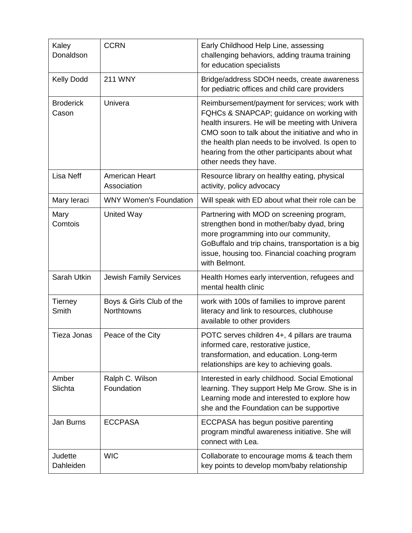| Kaley<br>Donaldson        | <b>CCRN</b>                            | Early Childhood Help Line, assessing<br>challenging behaviors, adding trauma training<br>for education specialists                                                                                                                                                                                                                 |
|---------------------------|----------------------------------------|------------------------------------------------------------------------------------------------------------------------------------------------------------------------------------------------------------------------------------------------------------------------------------------------------------------------------------|
| <b>Kelly Dodd</b>         | <b>211 WNY</b>                         | Bridge/address SDOH needs, create awareness<br>for pediatric offices and child care providers                                                                                                                                                                                                                                      |
| <b>Broderick</b><br>Cason | Univera                                | Reimbursement/payment for services; work with<br>FQHCs & SNAPCAP; guidance on working with<br>health insurers. He will be meeting with Univera<br>CMO soon to talk about the initiative and who in<br>the health plan needs to be involved. Is open to<br>hearing from the other participants about what<br>other needs they have. |
| <b>Lisa Neff</b>          | <b>American Heart</b><br>Association   | Resource library on healthy eating, physical<br>activity, policy advocacy                                                                                                                                                                                                                                                          |
| Mary Ieraci               | <b>WNY Women's Foundation</b>          | Will speak with ED about what their role can be                                                                                                                                                                                                                                                                                    |
| Mary<br>Comtois           | <b>United Way</b>                      | Partnering with MOD on screening program,<br>strengthen bond in mother/baby dyad, bring<br>more programming into our community,<br>GoBuffalo and trip chains, transportation is a big<br>issue, housing too. Financial coaching program<br>with Belmont.                                                                           |
| Sarah Utkin               | <b>Jewish Family Services</b>          | Health Homes early intervention, refugees and<br>mental health clinic                                                                                                                                                                                                                                                              |
| <b>Tierney</b><br>Smith   | Boys & Girls Club of the<br>Northtowns | work with 100s of families to improve parent<br>literacy and link to resources, clubhouse<br>available to other providers                                                                                                                                                                                                          |
| <b>Tieza Jonas</b>        | Peace of the City                      | POTC serves children 4+, 4 pillars are trauma<br>informed care, restorative justice,<br>transformation, and education. Long-term<br>relationships are key to achieving goals.                                                                                                                                                      |
| Amber<br>Slichta          | Ralph C. Wilson<br>Foundation          | Interested in early childhood. Social Emotional<br>learning. They support Help Me Grow. She is in<br>Learning mode and interested to explore how<br>she and the Foundation can be supportive                                                                                                                                       |
| Jan Burns                 | <b>ECCPASA</b>                         | ECCPASA has begun positive parenting<br>program mindful awareness initiative. She will<br>connect with Lea.                                                                                                                                                                                                                        |
| Judette<br>Dahleiden      | <b>WIC</b>                             | Collaborate to encourage moms & teach them<br>key points to develop mom/baby relationship                                                                                                                                                                                                                                          |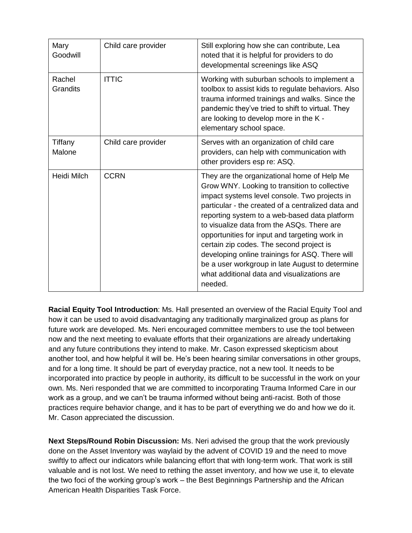| Mary<br>Goodwill          | Child care provider | Still exploring how she can contribute, Lea<br>noted that it is helpful for providers to do<br>developmental screenings like ASQ                                                                                                                                                                                                                                                                                                                                                                                                                                |
|---------------------------|---------------------|-----------------------------------------------------------------------------------------------------------------------------------------------------------------------------------------------------------------------------------------------------------------------------------------------------------------------------------------------------------------------------------------------------------------------------------------------------------------------------------------------------------------------------------------------------------------|
| Rachel<br><b>Grandits</b> | <b>ITTIC</b>        | Working with suburban schools to implement a<br>toolbox to assist kids to regulate behaviors. Also<br>trauma informed trainings and walks. Since the<br>pandemic they've tried to shift to virtual. They<br>are looking to develop more in the K -<br>elementary school space.                                                                                                                                                                                                                                                                                  |
| Tiffany<br>Malone         | Child care provider | Serves with an organization of child care<br>providers, can help with communication with<br>other providers esp re: ASQ.                                                                                                                                                                                                                                                                                                                                                                                                                                        |
| <b>Heidi Milch</b>        | <b>CCRN</b>         | They are the organizational home of Help Me<br>Grow WNY. Looking to transition to collective<br>impact systems level console. Two projects in<br>particular - the created of a centralized data and<br>reporting system to a web-based data platform<br>to visualize data from the ASQs. There are<br>opportunities for input and targeting work in<br>certain zip codes. The second project is<br>developing online trainings for ASQ. There will<br>be a user workgroup in late August to determine<br>what additional data and visualizations are<br>needed. |

**Racial Equity Tool Introduction**: Ms. Hall presented an overview of the Racial Equity Tool and how it can be used to avoid disadvantaging any traditionally marginalized group as plans for future work are developed. Ms. Neri encouraged committee members to use the tool between now and the next meeting to evaluate efforts that their organizations are already undertaking and any future contributions they intend to make. Mr. Cason expressed skepticism about another tool, and how helpful it will be. He's been hearing similar conversations in other groups, and for a long time. It should be part of everyday practice, not a new tool. It needs to be incorporated into practice by people in authority, its difficult to be successful in the work on your own. Ms. Neri responded that we are committed to incorporating Trauma Informed Care in our work as a group, and we can't be trauma informed without being anti-racist. Both of those practices require behavior change, and it has to be part of everything we do and how we do it. Mr. Cason appreciated the discussion.

**Next Steps/Round Robin Discussion:** Ms. Neri advised the group that the work previously done on the Asset Inventory was waylaid by the advent of COVID 19 and the need to move swiftly to affect our indicators while balancing effort that with long-term work. That work is still valuable and is not lost. We need to rething the asset inventory, and how we use it, to elevate the two foci of the working group's work – the Best Beginnings Partnership and the African American Health Disparities Task Force.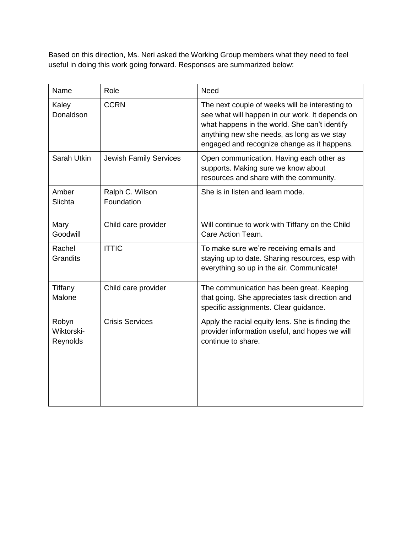Based on this direction, Ms. Neri asked the Working Group members what they need to feel useful in doing this work going forward. Responses are summarized below:

| Name                            | Role                          | Need                                                                                                                                                                                                                                             |
|---------------------------------|-------------------------------|--------------------------------------------------------------------------------------------------------------------------------------------------------------------------------------------------------------------------------------------------|
| Kaley<br>Donaldson              | <b>CCRN</b>                   | The next couple of weeks will be interesting to<br>see what will happen in our work. It depends on<br>what happens in the world. She can't identify<br>anything new she needs, as long as we stay<br>engaged and recognize change as it happens. |
| Sarah Utkin                     | Jewish Family Services        | Open communication. Having each other as<br>supports. Making sure we know about<br>resources and share with the community.                                                                                                                       |
| Amber<br>Slichta                | Ralph C. Wilson<br>Foundation | She is in listen and learn mode.                                                                                                                                                                                                                 |
| Mary<br>Goodwill                | Child care provider           | Will continue to work with Tiffany on the Child<br>Care Action Team.                                                                                                                                                                             |
| Rachel<br><b>Grandits</b>       | <b>ITTIC</b>                  | To make sure we're receiving emails and<br>staying up to date. Sharing resources, esp with<br>everything so up in the air. Communicate!                                                                                                          |
| Tiffany<br>Malone               | Child care provider           | The communication has been great. Keeping<br>that going. She appreciates task direction and<br>specific assignments. Clear guidance.                                                                                                             |
| Robyn<br>Wiktorski-<br>Reynolds | <b>Crisis Services</b>        | Apply the racial equity lens. She is finding the<br>provider information useful, and hopes we will<br>continue to share.                                                                                                                         |